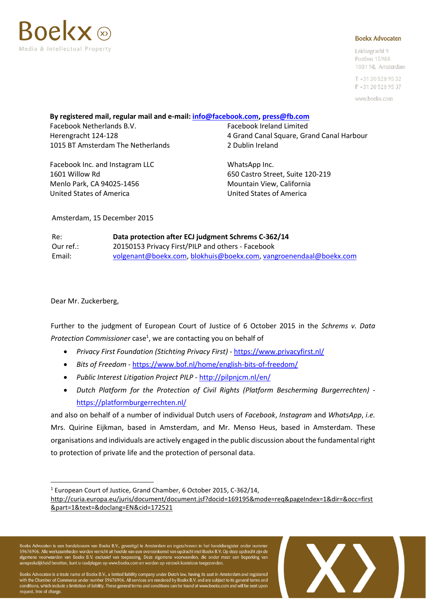

#### **Boekx Advocaten**

Leidsegracht 9 Postbus 15988 1001 NL Amsterdam

 $T + 31205289532$ F +31 20 528 95 37

www.boekx.com

#### **By registered mail, regular mail and e-mail: [info@facebook.com,](mailto:info@facebook.com) [press@fb.com](mailto:press@fb.com)**

Facebook Netherlands B.V. Facebook Ireland Limited 1015 BT Amsterdam The Netherlands 2 Dublin Ireland

Facebook Inc. and Instagram LLC WhatsApp Inc. 1601 Willow Rd 650 Castro Street, Suite 120-219 Menlo Park, CA 94025-1456 Mountain View, California United States of America United States of America

Herengracht 124-128 4 Grand Canal Square, Grand Canal Harbour

Amsterdam, 15 December 2015

| Re:       | Data protection after ECJ judgment Schrems C-362/14               |
|-----------|-------------------------------------------------------------------|
| Our ref.: | 20150153 Privacy First/PILP and others - Facebook                 |
| Email:    | volgenant@boekx.com, blokhuis@boekx.com, vangroenendaal@boekx.com |

Dear Mr. Zuckerberg,

 $\overline{a}$ 

Further to the judgment of European Court of Justice of 6 October 2015 in the *Schrems v. Data*  Protection Commissioner case<sup>1</sup>, we are contacting you on behalf of

- *Privacy First Foundation (Stichting Privacy First) -* <https://www.privacyfirst.nl/>
- *Bits of Freedom* <https://www.bof.nl/home/english-bits-of-freedom/>
- *Public Interest Litigation Project PILP* <http://pilpnjcm.nl/en/>
- *Dutch Platform for the Protection of Civil Rights (Platform Bescherming Burgerrechten)* <https://platformburgerrechten.nl/>

and also on behalf of a number of individual Dutch users of *Facebook*, *Instagram* and *WhatsApp*, *i.e.* Mrs. Quirine Eijkman, based in Amsterdam, and Mr. Menso Heus, based in Amsterdam. These organisations and individuals are actively engaged in the public discussion about the fundamental right to protection of private life and the protection of personal data.

<sup>1</sup> European Court of Justice, Grand Chamber, 6 October 2015, C-362/14,

[http://curia.europa.eu/juris/document/document.jsf?docid=169195&mode=req&pageIndex=1&dir=&occ=first](http://curia.europa.eu/juris/document/document.jsf?docid=169195&mode=req&pageIndex=1&dir=&occ=first&part=1&text=&doclang=EN&cid=172521) [&part=1&text=&doclang=EN&cid=172521](http://curia.europa.eu/juris/document/document.jsf?docid=169195&mode=req&pageIndex=1&dir=&occ=first&part=1&text=&doclang=EN&cid=172521)

Boekx Advocaten is een handelsnaam van Boekx B.V., gevestigd te Amsterdam en ingeschreven in het handelsregister onder nummer<br>59676906. Alle werkzaamheden worden verricht uit hoofde van een overeenkomst van opdracht met Bo

Boekx Advocaten is a trade name of Boekx B.V., a limited liability company under Dutch law, having its seat in Amsterdam and registered<br>with the Chamber of Commerce under number 59676906. All services are rendered by Boekx conditions, which include a limitation of liability. These general terms and conditions can be found at www.boekx.com and will be sent upon request, free of charge

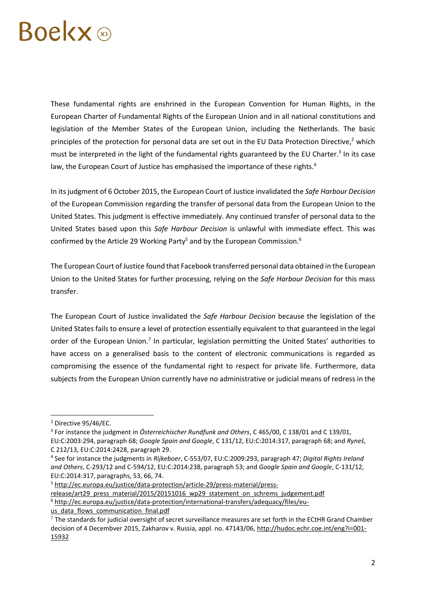# **Boekx**

These fundamental rights are enshrined in the European Convention for Human Rights, in the European Charter of Fundamental Rights of the European Union and in all national constitutions and legislation of the Member States of the European Union, including the Netherlands. The basic principles of the protection for personal data are set out in the EU Data Protection Directive, <sup>2</sup> which must be interpreted in the light of the fundamental rights guaranteed by the EU Charter.<sup>3</sup> In its case law, the European Court of Justice has emphasised the importance of these rights.<sup>4</sup>

In its judgment of 6 October 2015, the European Court of Justice invalidated the *Safe Harbour Decision* of the European Commission regarding the transfer of personal data from the European Union to the United States. This judgment is effective immediately. Any continued transfer of personal data to the United States based upon this *Safe Harbour Decision* is unlawful with immediate effect. This was confirmed by the Article 29 Working Party<sup>5</sup> and by the European Commission.<sup>6</sup>

The European Court of Justice found that Facebook transferred personal data obtained in the European Union to the United States for further processing, relying on the *Safe Harbour Decision* for this mass transfer.

The European Court of Justice invalidated the *Safe Harbour Decision* because the legislation of the United States fails to ensure a level of protection essentially equivalent to that guaranteed in the legal order of the European Union.<sup>7</sup> In particular, legislation permitting the United States' authorities to have access on a generalised basis to the content of electronic communications is regarded as compromising the essence of the fundamental right to respect for private life. Furthermore, data subjects from the European Union currently have no administrative or judicial means of redress in the

 $\overline{a}$ 

<sup>5</sup> [http://ec.europa.eu/justice/data-protection/article-29/press-material/press-](http://ec.europa.eu/justice/data-protection/article-29/press-material/press-release/art29_press_material/2015/20151016_wp29_statement_on_schrems_judgement.pdf)

[release/art29\\_press\\_material/2015/20151016\\_wp29\\_statement\\_on\\_schrems\\_judgement.pdf](http://ec.europa.eu/justice/data-protection/article-29/press-material/press-release/art29_press_material/2015/20151016_wp29_statement_on_schrems_judgement.pdf)

<sup>6</sup> [http://ec.europa.eu/justice/data-protection/international-transfers/adequacy/files/eu-](http://ec.europa.eu/justice/data-protection/international-transfers/adequacy/files/eu-us_data_flows_communication_final.pdf)

us data flows communication final.pdf

<sup>2</sup> Directive 95/46/EC.

<sup>3</sup> For instance the judgment in *Österreichischer Rundfunk and Others*, C 465/00, C 138/01 and C 139/01, EU:C:2003:294, paragraph 68; *Google Spain and Google*, C 131/12, EU:C:2014:317, paragraph 68; and *Ryneš*, C 212/13, EU:C:2014:2428, paragraph 29.

<sup>4</sup> See for instance the judgments in *Rijkeboer*, C-553/07, EU:C:2009:293, paragraph 47; *Digital Rights Ireland and Others*, C-293/12 and C-594/12, EU:C:2014:238, paragraph 53; and *Google Spain and Google*, C-131/12, EU:C:2014:317, paragraphs, 53, 66, 74.

 $7$  The standards for judicial oversight of secret surveillance measures are set forth in the ECtHR Grand Chamber decision of 4 Decembver 2015, Zakharov v. Russia, appl. no. 47143/06, [http://hudoc.echr.coe.int/eng?i=001-](http://hudoc.echr.coe.int/eng?i=001-15932) [15932](http://hudoc.echr.coe.int/eng?i=001-15932)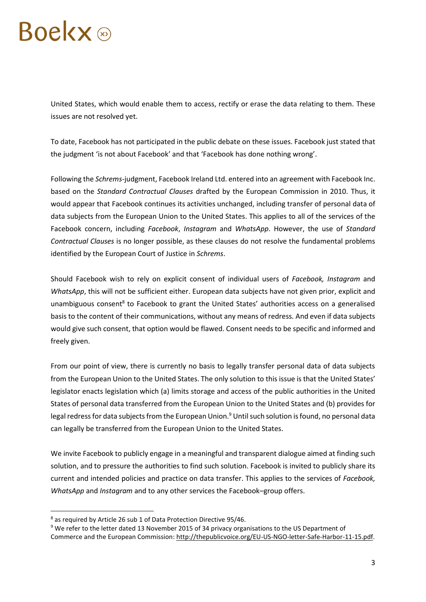# **Boekx**

United States, which would enable them to access, rectify or erase the data relating to them. These issues are not resolved yet.

To date, Facebook has not participated in the public debate on these issues. Facebook just stated that the judgment 'is not about Facebook' and that 'Facebook has done nothing wrong'.

Following the *Schrems*-judgment, Facebook Ireland Ltd. entered into an agreement with Facebook Inc. based on the *Standard Contractual Clauses* drafted by the European Commission in 2010. Thus, it would appear that Facebook continues its activities unchanged, including transfer of personal data of data subjects from the European Union to the United States. This applies to all of the services of the Facebook concern, including *Facebook*, *Instagram* and *WhatsApp*. However, the use of *Standard Contractual Clauses* is no longer possible, as these clauses do not resolve the fundamental problems identified by the European Court of Justice in *Schrems*.

Should Facebook wish to rely on explicit consent of individual users of *Facebook, Instagram* and *WhatsApp*, this will not be sufficient either. European data subjects have not given prior, explicit and unambiguous consent<sup>8</sup> to Facebook to grant the United States' authorities access on a generalised basis to the content of their communications, without any means of redress. And even if data subjects would give such consent, that option would be flawed. Consent needs to be specific and informed and freely given.

From our point of view, there is currently no basis to legally transfer personal data of data subjects from the European Union to the United States. The only solution to this issue is that the United States' legislator enacts legislation which (a) limits storage and access of the public authorities in the United States of personal data transferred from the European Union to the United States and (b) provides for legal redress for data subjects from the European Union.<sup>9</sup> Until such solution is found, no personal data can legally be transferred from the European Union to the United States.

We invite Facebook to publicly engage in a meaningful and transparent dialogue aimed at finding such solution, and to pressure the authorities to find such solution. Facebook is invited to publicly share its current and intended policies and practice on data transfer. This applies to the services of *Facebook, WhatsApp* and *Instagram* and to any other services the Facebook–group offers.

 $\overline{a}$ 

<sup>8</sup> as required by Article 26 sub 1 of Data Protection Directive 95/46.

<sup>&</sup>lt;sup>9</sup> We refer to the letter dated 13 November 2015 of 34 privacy organisations to the US Department of

Commerce and the European Commission: [http://thepublicvoice.org/EU-US-NGO-letter-Safe-Harbor-11-15.pdf.](http://thepublicvoice.org/EU-US-NGO-letter-Safe-Harbor-11-15.pdf)